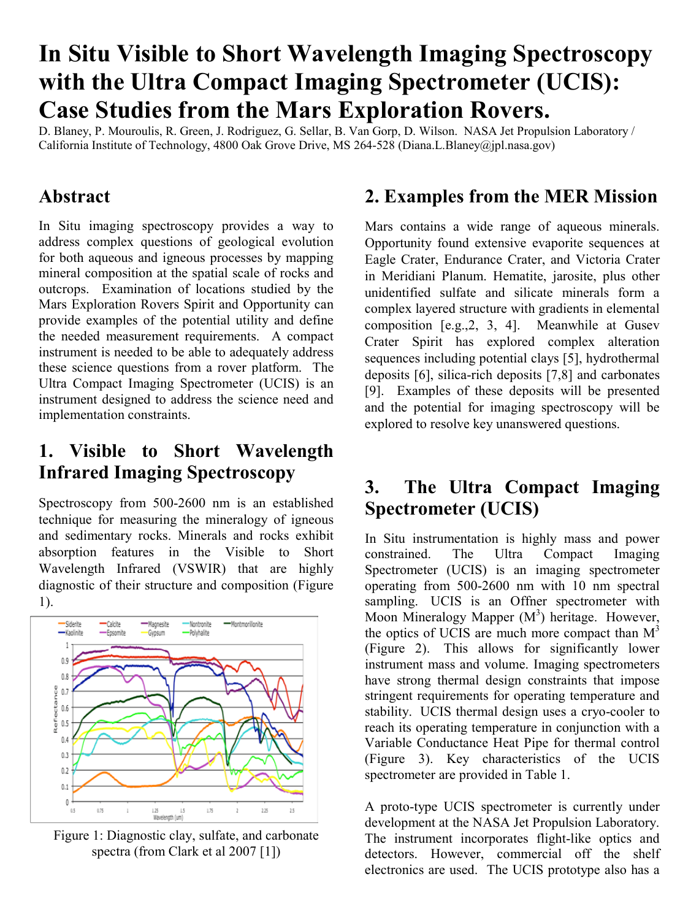# **In Situ Visible to Short Wavelength Imaging Spectroscopy with the Ultra Compact Imaging Spectrometer (UCIS): Case Studies from the Mars Exploration Rovers.**

D. Blaney, P. Mouroulis, R. Green, J. Rodriguez, G. Sellar, B. Van Gorp, D. Wilson. NASA Jet Propulsion Laboratory / California Institute of Technology, 4800 Oak Grove Drive, MS 264-528 (Diana.L.Blaney@jpl.nasa.gov)

#### **Abstract**

In Situ imaging spectroscopy provides a way to address complex questions of geological evolution for both aqueous and igneous processes by mapping mineral composition at the spatial scale of rocks and outcrops. Examination of locations studied by the Mars Exploration Rovers Spirit and Opportunity can provide examples of the potential utility and define the needed measurement requirements. A compact instrument is needed to be able to adequately address these science questions from a rover platform. The Ultra Compact Imaging Spectrometer (UCIS) is an instrument designed to address the science need and implementation constraints.

### **1. Visible to Short Wavelength Infrared Imaging Spectroscopy**

Spectroscopy from 500-2600 nm is an established technique for measuring the mineralogy of igneous and sedimentary rocks. Minerals and rocks exhibit absorption features in the Visible to Short Wavelength Infrared (VSWIR) that are highly diagnostic of their structure and composition (Figure 1).



Figure 1: Diagnostic clay, sulfate, and carbonate spectra (from Clark et al 2007 [1])

### **2. Examples from the MER Mission**

Mars contains a wide range of aqueous minerals. Opportunity found extensive evaporite sequences at Eagle Crater, Endurance Crater, and Victoria Crater in Meridiani Planum. Hematite, jarosite, plus other unidentified sulfate and silicate minerals form a complex layered structure with gradients in elemental composition [e.g.,2, 3, 4]. Meanwhile at Gusev Crater Spirit has explored complex alteration sequences including potential clays [5], hydrothermal deposits [6], silica-rich deposits [7,8] and carbonates [9]. Examples of these deposits will be presented and the potential for imaging spectroscopy will be explored to resolve key unanswered questions.

## **3. The Ultra Compact Imaging Spectrometer (UCIS)**

In Situ instrumentation is highly mass and power constrained. The Ultra Compact Imaging Spectrometer (UCIS) is an imaging spectrometer operating from 500-2600 nm with 10 nm spectral sampling. UCIS is an Offner spectrometer with Moon Mineralogy Mapper  $(M^3)$  heritage. However, the optics of UCIS are much more compact than  $M<sup>3</sup>$ (Figure 2). This allows for significantly lower instrument mass and volume. Imaging spectrometers have strong thermal design constraints that impose stringent requirements for operating temperature and stability. UCIS thermal design uses a cryo-cooler to reach its operating temperature in conjunction with a Variable Conductance Heat Pipe for thermal control (Figure 3). Key characteristics of the UCIS spectrometer are provided in Table 1.

A proto-type UCIS spectrometer is currently under development at the NASA Jet Propulsion Laboratory. The instrument incorporates flight-like optics and detectors. However, commercial off the shelf electronics are used. The UCIS prototype also has a